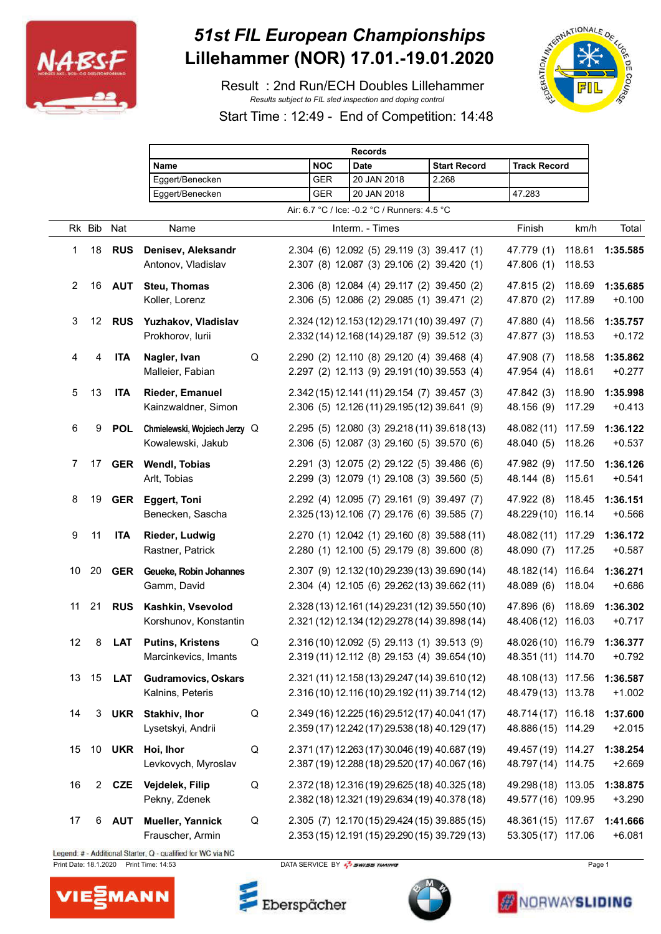

## *51st FIL European Championships* **Lillehammer (NOR) 17.01.-19.01.2020**

 Result : 2nd Run/ECH Doubles Lillehammer *Results subject to FIL sled inspection and doping control*



Start Time : 12:49 - End of Competition: 14:48

|                |                |            | <b>Records</b>                |            |             |                                                |                     |                             |        |          |
|----------------|----------------|------------|-------------------------------|------------|-------------|------------------------------------------------|---------------------|-----------------------------|--------|----------|
|                | Name           |            |                               | <b>NOC</b> | <b>Date</b> | <b>Start Record</b>                            | <b>Track Record</b> |                             |        |          |
|                |                |            | Eggert/Benecken               |            | <b>GER</b>  | 20 JAN 2018                                    | 2.268               |                             |        |          |
|                |                |            | Eggert/Benecken               |            | GER         | 20 JAN 2018                                    |                     | 47.283                      |        |          |
|                |                |            |                               |            |             | Air: 6.7 °C / Ice: -0.2 °C / Runners: 4.5 °C   |                     |                             |        |          |
|                | Rk Bib         | Nat        | Name                          |            |             | Interm. - Times                                |                     | Finish                      | km/h   | Total    |
| 1              | 18             | <b>RUS</b> | Denisev, Aleksandr            |            |             | 2.304 (6) 12.092 (5) 29.119 (3) 39.417 (1)     |                     | 47.779 (1)                  | 118.61 | 1:35.585 |
|                |                |            | Antonov, Vladislav            |            |             | 2.307 (8) 12.087 (3) 29.106 (2) 39.420 (1)     |                     | 47.806 (1)                  | 118.53 |          |
| $\overline{2}$ | 16             | <b>AUT</b> | <b>Steu, Thomas</b>           |            |             | 2.306 (8) 12.084 (4) 29.117 (2) 39.450 (2)     |                     | 47.815 (2)                  | 118.69 | 1:35.685 |
|                |                |            | Koller, Lorenz                |            |             | 2.306 (5) 12.086 (2) 29.085 (1) 39.471 (2)     |                     | 47.870 (2)                  | 117.89 | $+0.100$ |
| 3              | 12             | <b>RUS</b> | Yuzhakov, Vladislav           |            |             | 2.324 (12) 12.153 (12) 29.171 (10) 39.497 (7)  |                     | 47.880 (4)                  | 118.56 | 1:35.757 |
|                |                |            | Prokhorov, lurii              |            |             | 2.332 (14) 12.168 (14) 29.187 (9) 39.512 (3)   |                     | 47.877 (3)                  | 118.53 | $+0.172$ |
| 4              | 4              | <b>ITA</b> | Nagler, Ivan                  | Q          |             | 2.290 (2) 12.110 (8) 29.120 (4) 39.468 (4)     |                     | 47.908 (7)                  | 118.58 | 1:35.862 |
|                |                |            | Malleier, Fabian              |            |             | 2.297 (2) 12.113 (9) 29.191 (10) 39.553 (4)    |                     | 47.954 (4)                  | 118.61 | $+0.277$ |
| 5              | 13             | <b>ITA</b> | <b>Rieder, Emanuel</b>        |            |             | 2.342 (15) 12.141 (11) 29.154 (7) 39.457 (3)   |                     | 47.842 (3)                  | 118.90 | 1:35.998 |
|                |                |            | Kainzwaldner, Simon           |            |             | 2.306 (5) 12.126 (11) 29.195 (12) 39.641 (9)   |                     | 48.156 (9)                  | 117.29 | $+0.413$ |
| 6              | 9              | <b>POL</b> | Chmielewski, Wojciech Jerzy Q |            |             | 2.295 (5) 12.080 (3) 29.218 (11) 39.618 (13)   |                     | 48.082 (11) 117.59          |        | 1:36.122 |
|                |                |            | Kowalewski, Jakub             |            |             | 2.306 (5) 12.087 (3) 29.160 (5) 39.570 (6)     |                     | 48.040 (5)                  | 118.26 | $+0.537$ |
| 7              | 17             | <b>GER</b> | <b>Wendl, Tobias</b>          |            |             | 2.291 (3) 12.075 (2) 29.122 (5) 39.486 (6)     |                     | 47.982 (9)                  | 117.50 | 1:36.126 |
|                |                |            | Arlt, Tobias                  |            |             | 2.299 (3) 12.079 (1) 29.108 (3) 39.560 (5)     |                     | 48.144 (8)                  | 115.61 | $+0.541$ |
| 8              | 19             | <b>GER</b> | <b>Eggert, Toni</b>           |            |             | 2.292 (4) 12.095 (7) 29.161 (9) 39.497 (7)     |                     | 47.922 (8)                  | 118.45 | 1:36.151 |
|                |                |            | Benecken, Sascha              |            |             | 2.325 (13) 12.106 (7) 29.176 (6) 39.585 (7)    |                     | 48.229 (10) 116.14          |        | $+0.566$ |
| 9              | 11             | <b>ITA</b> | <b>Rieder, Ludwig</b>         |            |             | 2.270 (1) 12.042 (1) 29.160 (8) 39.588 (11)    |                     | 48.082 (11) 117.29          |        | 1:36.172 |
|                |                |            | Rastner, Patrick              |            |             | 2.280 (1) 12.100 (5) 29.179 (8) 39.600 (8)     |                     | 48.090 (7)                  | 117.25 | $+0.587$ |
| 10             | 20             | <b>GER</b> | Geueke, Robin Johannes        |            |             | 2.307 (9) 12.132 (10) 29.239 (13) 39.690 (14)  |                     | 48.182 (14) 116.64          |        | 1:36.271 |
|                |                |            | Gamm, David                   |            |             | 2.304 (4) 12.105 (6) 29.262 (13) 39.662 (11)   |                     | 48.089 (6)                  | 118.04 | $+0.686$ |
|                | 11 21          | <b>RUS</b> | Kashkin, Vsevolod             |            |             | 2.328 (13) 12.161 (14) 29.231 (12) 39.550 (10) |                     | 47.896 (6)                  | 118.69 | 1:36.302 |
|                |                |            | Korshunov, Konstantin         |            |             | 2.321 (12) 12.134 (12) 29.278 (14) 39.898 (14) |                     | 48.406 (12) 116.03          |        | $+0.717$ |
| 12             |                | <b>LAT</b> | <b>Putins, Kristens</b>       | Q          |             | 2.316 (10) 12.092 (5) 29.113 (1) 39.513 (9)    |                     | 48.026 (10) 116.79 1:36.377 |        |          |
|                |                |            | Marcinkevics, Imants          |            |             | 2.319 (11) 12.112 (8) 29.153 (4) 39.654 (10)   |                     | 48.351 (11) 114.70          |        | $+0.792$ |
| 13             | 15             | <b>LAT</b> | <b>Gudramovics, Oskars</b>    |            |             | 2.321 (11) 12.158 (13) 29.247 (14) 39.610 (12) |                     | 48.108 (13) 117.56          |        | 1:36.587 |
|                |                |            | Kalnins, Peteris              |            |             | 2.316 (10) 12.116 (10) 29.192 (11) 39.714 (12) |                     | 48.479 (13) 113.78          |        | $+1.002$ |
| 14             | 3              | <b>UKR</b> | Stakhiv, Ihor                 | Q          |             | 2.349 (16) 12.225 (16) 29.512 (17) 40.041 (17) |                     | 48.714 (17) 116.18          |        | 1:37.600 |
|                |                |            | Lysetskyi, Andrii             |            |             | 2.359 (17) 12.242 (17) 29.538 (18) 40.129 (17) |                     | 48.886 (15) 114.29          |        | $+2.015$ |
| 15             | 10             |            | UKR Hoi, Ihor                 | Q          |             | 2.371 (17) 12.263 (17) 30.046 (19) 40.687 (19) |                     | 49.457 (19) 114.27          |        | 1:38.254 |
|                |                |            | Levkovych, Myroslav           |            |             | 2.387 (19) 12.288 (18) 29.520 (17) 40.067 (16) |                     | 48.797 (14) 114.75          |        | $+2.669$ |
| 16             | $\overline{2}$ | CZE        | Vejdelek, Filip               | Q          |             | 2.372 (18) 12.316 (19) 29.625 (18) 40.325 (18) |                     | 49.298 (18) 113.05          |        | 1:38.875 |
|                |                |            | Pekny, Zdenek                 |            |             | 2.382 (18) 12.321 (19) 29.634 (19) 40.378 (18) |                     | 49.577 (16) 109.95          |        | $+3.290$ |
| 17             | 6              | <b>AUT</b> | Mueller, Yannick              | $\sf Q$    |             | 2.305 (7) 12.170 (15) 29.424 (15) 39.885 (15)  |                     | 48.361 (15) 117.67          |        | 1:41.666 |
|                |                |            | Frauscher, Armin              |            |             | 2.353 (15) 12.191 (15) 29.290 (15) 39.729 (13) |                     | 53.305 (17) 117.06          |        | $+6.081$ |

Legend: # - Additional Starter, Q - qualified for WC via NC Print Date: 18.1.2020 Print Time: 14:53 DATA SERVICE BY **Page 1** DATA SERVICE BY Page 1



Eberspächer